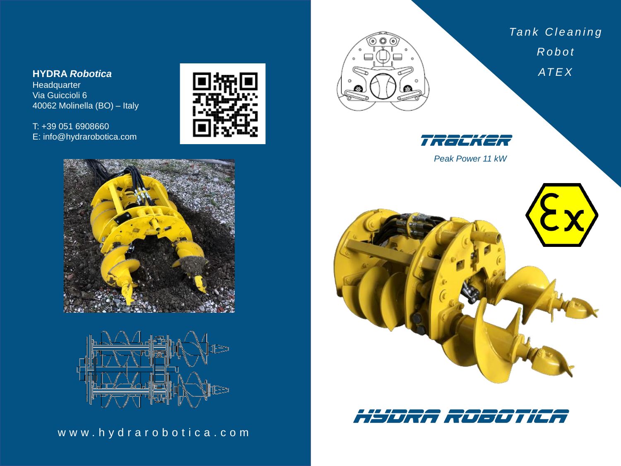**HYDRA** *Robotica*

Headquarter Via Guiccioli 6 40062 Molinella (BO) – Italy

T: +39 051 6908660 E: info@hydrarobotica.com







w w w . h y d r a r o b o t i c a . c o m



*Ta n k C l e a n i n g R o b o t AT E X*



*Peak Power 11 kW*